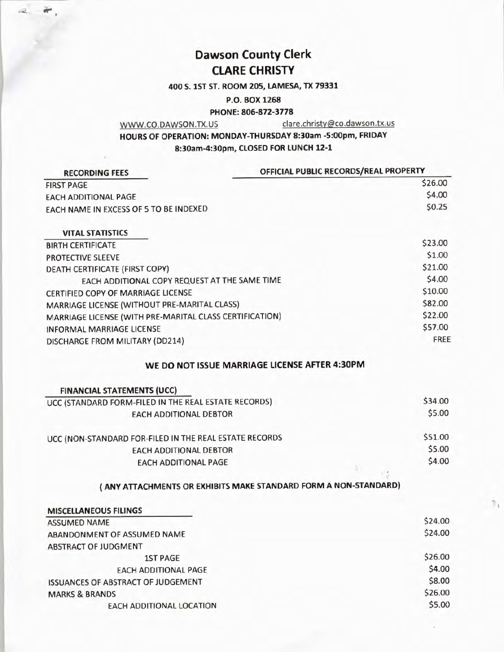## **Dawson County Clerk CLARE CHRISTY**

....

**400 S. 1ST ST. ROOM 205, LAMESA, TX 79331** 

**P .0. BOX 1268** 

**PHONE: 806-872-3778** 

www.co.DAWSON.TX.US clare.christy@co.dawson.tx.us **HOURS OF OPERATION: MONDAY-THURSDAY 8:30am -5:00pm, FRIDAY 8:30am-4:30pm, CLOSED FOR LUNCH 12-1** 

| <b>RECORDING FEES</b>                                   | OFFICIAL PUBLIC RECORDS/REAL PROPERTY                            |  |
|---------------------------------------------------------|------------------------------------------------------------------|--|
| <b>FIRST PAGE</b>                                       | \$26.00                                                          |  |
| <b>EACH ADDITIONAL PAGE</b>                             | \$4.00                                                           |  |
| EACH NAME IN EXCESS OF 5 TO BE INDEXED                  | \$0.25                                                           |  |
| <b>VITAL STATISTICS</b>                                 |                                                                  |  |
| <b>BIRTH CERTIFICATE</b>                                | \$23.00                                                          |  |
| <b>PROTECTIVE SLEEVE</b>                                | \$1.00                                                           |  |
| DEATH CERTIFICATE (FIRST COPY)                          | \$21.00                                                          |  |
| EACH ADDITIONAL COPY REQUEST AT THE SAME TIME           | \$4.00                                                           |  |
| CERTIFIED COPY OF MARRIAGE LICENSE                      | \$10.00                                                          |  |
| MARRIAGE LICENSE (WITHOUT PRE-MARITAL CLASS)            | \$82.00                                                          |  |
| MARRIAGE LICENSE (WITH PRE-MARITAL CLASS CERTIFICATION) | \$22.00                                                          |  |
| <b>INFORMAL MARRIAGE LICENSE</b>                        | \$57.00                                                          |  |
| DISCHARGE FROM MILITARY (DD214)                         | FREE                                                             |  |
|                                                         | WE DO NOT ISSUE MARRIAGE LICENSE AFTER 4:30PM                    |  |
| <b>FINANCIAL STATEMENTS (UCC)</b>                       |                                                                  |  |
| UCC (STANDARD FORM-FILED IN THE REAL ESTATE RECORDS)    | \$34.00                                                          |  |
| <b>EACH ADDITIONAL DEBTOR</b>                           | \$5.00                                                           |  |
| UCC (NON-STANDARD FOR-FILED IN THE REAL ESTATE RECORDS  | \$51.00                                                          |  |
| <b>EACH ADDITIONAL DEBTOR</b>                           | \$5.00                                                           |  |
| <b>EACH ADDITIONAL PAGE</b>                             | \$4.00                                                           |  |
|                                                         | ( ANY ATTACHMENTS OR EXHIBITS MAKE STANDARD FORM A NON-STANDARD) |  |
| <b>MISCELLANEOUS FILINGS</b>                            |                                                                  |  |
| <b>ASSUMED NAME</b>                                     | \$24.00                                                          |  |
| ABANDONMENT OF ASSUMED NAME                             | \$24.00                                                          |  |
| ABSTRACT OF JUDGMENT                                    |                                                                  |  |
| <b>1ST PAGE</b>                                         | \$26.00                                                          |  |
| <b>EACH ADDITIONAL PAGE</b>                             | \$4.00                                                           |  |
| ISSUANCES OF ABSTRACT OF JUDGEMENT                      | \$8.00                                                           |  |
| <b>MARKS &amp; BRANDS</b>                               | \$26.00                                                          |  |
| EACH ADDITIONAL LOCATION                                | \$5.00                                                           |  |